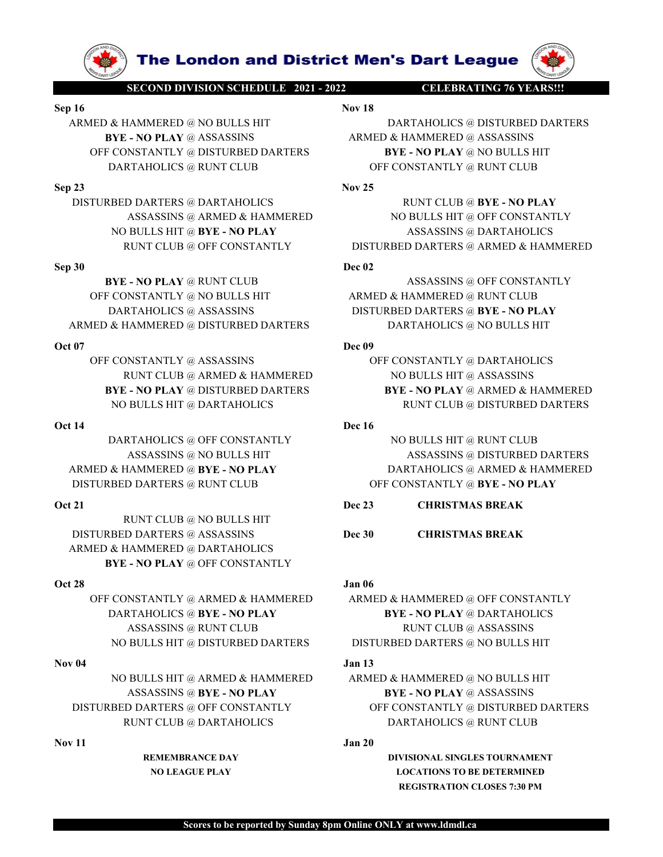**SECOND DIVISION SCHEDULE 2021-2022**<br>
SECOND DIVISION SCHEDULE 2021-2022<br>
Nov 18<br>
ARMED & HAMMERED @ NO BULLS HIT<br>
BYE - NO PLAY @ ASSASSINS<br>
OFF CONSTANTLY @ DISTURBED DARTERS<br>
DARTAHOLICS @ RUNT CLUB<br>
DARTAHOLICS @ RUNT OFF CONSTANTLY @ DISTURBED DARTERS BYE - NO PLAY @ NO BULLS HIT **SECONDRUMERED & ROBERT AND ARTAHOLICS**<br>
SEP 16<br>
ARMED & HAMMERED @ NO BULLS HIT<br>
BET 200 BULLS HIT<br>
BET 200 BULLS HIT<br>
BET 200 BULLS HIT<br>
BET 200 BULLS HIT<br>
DARTAHOLICS & DISTURBED DARTERS<br>
DECONSTANTLY @ DISTURBED DARTER **SEX ANNERED ANTERES AND DEVELOP AND SEX AND ARTIFICATE SEPTION OF CONSTANTLY AND DEVELOP AND DEVELOP AND DEVELOP AND DEVELOP AND DEVELOP AND DEVELOP AND DEVELOP AND DEVELOP AND DEVELOP AND DEVELOP AND DEVELOP AND DEVELOP** SECONDINSIONS (FIRED) AND ANNEXED (AND DULLS HIT Nov IN DATAHOLICS (AND DULLS HIT NOT CONSTANTLY @ REALLS HIT NOT CONSTANTLY (AND DULLS HIT DARTAHOLICS (AND DULLS HIT DARTAHOLICS (AND DULLS HIT DARTAHOLICS (AND DULLS HIT O

OFF CONSTANTLY @ DISTURBED DARTERS<br>
SEP 23<br>
DISTURBED DARTAHOLICS @ RUNT CLUB OFF CONSTANTLY @ RUNT CLUB AND AREAS (AND A RAMEAL AND A RAMEAL AND BULLS HIT @ THE CONSTANTLY ASSASSING @ DRELATIONICS<br>
NO BULLS HIT @ TWE - N

DISTURBED ART ARMED WANT CLUB (SARAFIND CONSTANTLY ROBULLS HIT @ OFF CONSTANTLY ROBULLS HIT @ OFF CONSTANTLY ASSASSING @ DARTAHOLICS RIVE - NO PLAY and DEVIREED DARTERS @ ARMED & HAMMERED DATERS OF CONSTANTLY DISTURBED DAR NO BULLS HIT @ RYE - NO PLAY ASSASSINS @ DARTAHOLICS<br>
RUNT CLUB @ OFF CONSTANTLY DISTURBED DARTERS @ ARMED & HAMMERED<br>
OF CONSTANTLY @ NO BULLS HIT<br>
DREAK VIOLT CONSTANTLY @ NO BULLS HIT<br>
DREAK DO BULLS HIT<br>
DARTAHOLICS @ 90 BYE - NO FILAY @ RUNT CLUB (DETAINERED @ ASSASSINS @ OFF CONSTANTLY (DARTAHOLICS @ ASSASSINS (DETAINMERED @ RUNT CLUB DARTAHOLICS @ ASSASSINS (DETAINMERED @ ASSASSINS (DETAINMERED @ ASSASSINS (DETAINMERED ARTAHOLICS @

RUNT CLUB @ NO BULLS HIT ARMED & HAMMERED @ DARTAHOLICS BYE - NO PLAY @ OFF CONSTANTLY

**The London and District Men's Dart League (SECOND DIVISION SCHEDULE 2021 - 2022 CELEBRATING 76 YEARS!!!**<br>Nov 18<br>IAMMERED @ NO BULLS HIT DARTAHOLICS @ DISTURBED DARTERS<br>NO PLAY @ ASSASSINS ARMED & HAMMERED @ ASSASSINS<br>NSTA **ARMED & HAMMERED @ NO BULLS HIT BYE - NO PLAY @ ASSASSINS**<br>DARMED & HAMMERED @ NO BULLS HIT BYE - NO PLAY @ ASSASSINS<br>OFF CONSTANTLY @ DISTURBED DARTERS<br>DARTAHOLICS @ RUNT CLUB<br>DARTAHOLICS @ RUNT CLUB<br>23<br>Nov 25<br>Nov 25 **EXAMPLE 1999 CONSTANTLY @ DELEBRATING 76 VEARS!!!**<br>
BYE - NO PLAY @ ASSASSINS<br>
BYE - NO PLAY @ ASSASSINS<br>
F CONSTANTLY @ DISTURBED DARTERS<br>
DARTAHOLICS @ RUNT CLUB<br>
ARMED & HAMMERED @ ASSASSINS<br>
FONSTANTLY @ RUNT CLUB<br>
AR **EXECUTE IN EXAMULT SECOND DIVISION SCHEDULE 2021-2022**<br> **EXECUTE DARTAHOLICS @ DISTURBED DARTERS**<br>
SECOND DIVISION SCHEDULE HIT<br>
NOV 18<br>
SEE PORTANTLY @ DISTURBED DARTERS<br>
ONETANTLY @ DISTURBED DARTERS<br>
DARTAHOLICS @ RUNT **SECONDIVISIONSEIGNILE 2014**<br> **DEART AND ARTAHOLICS & DISTURBED DARTERS**<br>
REARMERED & HAMMERED @ NO BULLS HIT<br>
BYE - NO PLAY @ ASSASSINS<br>
OFF CONSTANTLY @ DISTURBED DARTERS<br>
DARTAHOLICS @ RUNT CLUB<br>
DARTAHOLICS @ RUNT CLUB **The London and District Men's Dart League (AMAIN AND ASSASSING ARMERED @ ASSASSINS ARMED & HAMMERED @ ASSASSINS ARMED & HAMMERED @ ASSASSINS SINSTANTLY @ DISTURBED DARTERS ARMED & HAMMERED @ ASSASSINS BYE - NO PLAY @ RUN The London and District Men's Dart League (APA)**<br> **EXONDIVISIONS CHULLS HIT**<br>
MOVED @ NO BULLS HIT DARTAHOLICS @ DISTURBED DARTERS<br>
REAMMERED @ ASSASSINS<br>
NORTAHOLICS @ RUNT CLUB<br>
RTAHOLICS @ RUNT CLUB<br>
DARTERS @ DARTAHO **EXERCTS CONSTANTLY AND RELEASE ASSASSINS**<br> **BYE - NO PLAY @ ASSASSINS**<br> **BYE - NO PLAY @ ASSASSINS**<br> **BYE - NO PLAY @ ASSASSINS**<br> **BYE - NO PLAY @ ASSASSINS**<br> **BYE - NO PLAY @ ASSASSINS**<br> **BRED DARTERS @ DARTAHOLICS**<br> **BR THE LONDON and District Men's Dart League (W)**<br>
SECONDIVISIONS (HEADER ARME WE ARE ARMIEN ARRIEN ARMAMERED DARTERS<br>
BYE - NO PLAY @ ASSASSINS<br>
OFF CONSTANTLY @ DISTURBED DARTERS<br>
DEVEL STATE ARMERED ARTERS<br>
TURBED DARTERS **The London and District Men's Dart League (A)**<br> **EVALUATION CONTINUES AND ARTERS AND ARTHOLICS @ BYE - NO PLAY @ BOBULES HIT<br>
SENANTIKY @ DISTURBED DARTERS ARMED & HAMMERED @ ASSASSINS DARTAHOLICS @ RUNT CLUB<br>
DARTAHOLIC The London and District Men's Dart League (APABIBANTING FOUND IN THE ARMEN'S CONSTANTLY WAS ARMED AN EXERCUSE AN EXERCUSE AN EXERCUSE AN EXERCUSE AN EXERCUSE AN EXERCUSE DISTURBED DARTERS ARMED AT DATA AN ARMER WAS ARMOU** SECONDINISION SCHEDULE HT<br>
NOVIS ANAMERED @ NO BULLS HIT<br>
DARTAHOLICS @ DISTURBED DARTERS<br>
OFF CONSTANTLY @ DISTURBED DARTERS<br>
OFF CONSTANTLY @ DISTURBED DARTERS<br>
OF CONSTANTLY @ DISTURBED DARTERS<br>
TURBED DARTAHOLICS<br>
ASSA RUNT CLUB @ ARMED & HAMMERED NO BULLS HIT @ ASSASSINS

NO BULLS HIT @ BYE - NO PLAY ASSASSINS @ DARTAHOLICS

BYE - NO PLAY @ DISTURBED DARTERS BYE - NO PLAY @ ARMED & HAMMERED MARIALIAD (WITH THE MANUFACT SUNTILIB (@ NEW AND STATISTIC DESTRUSHED DATERS ARMIELD AND SERVE ON DILLS HIT WAS ASSASSING THE DARTAHOLICS (RUNT CLUB & DISTURBED DARTERS ARMAMERED (WITH THE SASSESSING RUNT CLUB (2011) ASSAS DARTAHOLICS @ OFF CONSTANTLY NO BULLS HIT @ RUNT CLUB ASSASSINS @ NO BULLS HIT ASSASSINS @ DISTURBED DARTERS DARTAHOLICS @ ASSASSINS<br>
ORTIGRED DARTERS = DISTURBED DARTERS = OF CONSTANTLY © ASSASSINS<br>
OF CONSTANTLY © ASSASSINS<br>
OF CONSTANTLY © ASSASSINS<br>
OF CONSTANTLY © ASSASSINS<br>
ORT AND BULLS HIT © ASSASSINS<br>
NO BULLS HIT © ASS ED & HAMMERED @ DISTURBED DARTERS<br>
OFF CONSTANTLY @ ASSASSINS<br>
NO BULLS HIT @ ASSASSINS<br>
NO BULLS HIT @ ASSASSINS<br>
NO BULLS HIT @ ARMED DARTAHOLICS<br>
NO BULLS HIT @ ARMERED<br>
NO BULLS HIT @ NO BULLS HIT @ NO BULLS HIT @ NONT CONSTANTLY @ ASSASSINS Dec 09<br>
NO BULLS HIT @ ASSASSINS<br>
NO BULLS HIT @ ASSASSINS<br>
NO BULLS HIT @ DISTURBED DARTERS<br>
NO BULLS HIT @ DARTAHOLICS<br>
ASSASSINS @ ONE DULLS HIT @ RUNT CLUB<br>
ASSASSINS @ NO BULLS HIT & RONDLE MANI NSTANTLY @ ASSASSINS and the variable of F CONSTANTLY @ DARTAHOLICS<br>
ASSASSINS @ RUNE READ ANTERS<br>
ASSASSINS @ RUNT CLUB & DESASSINS @ DESTURED DARTERS<br>
FAHOLICS @ OFF CONSTANTLY<br>
ASSASSINS @ OF CONSTANTLY<br>
ASSASSINS @ NO

ARMED & HAMMERED @ BYE - NO PLAY DARTAHOLICS @ ARMED & HAMMERED

NO BULLS HIT @ ARMER ADMINICATERS (NETTAIN ONE TAND ARTIFIED DATERS ASSASSING ARMER DISTURBED DARTERS AND DULLS HIT @ DISTURBED DARTERS ASSASSING (NETAIN OUR DULLS HIT @ NO BULLS HIT & ROWER OUR CONSTANTLY (NETTAIN OUR CON

**EVE - NO PLAY @ DISTURBED DARTERS AND EXECUTE ARMED AN ENDIT CONSTANTLY AND BULLS INTO A SSASSINS @ NO BULLS IIIT<br>
ASSASSINS @ NO BULLS IIIT AN ASSASSING AN ENDIT COURSE AND A SSASSING AN EXAMPLE DARTERS ASSASSING @ NO B** NO BULLS HIT @ DARTAHOLICS **DEVELO BULLS HIT @ DISTURBED DARTERS**<br>
ASSASSINS @ NO BULLS HIT **ASSASSINS @ NO BULLS HIT & ASSASSING @ DISTURBED DARTERS**<br>
ARMERED @ **NVC - NO PLAY DRAFIANCILICS @ ARMED & HAMMERED**<br> **ED DART** EXAMPLE GRAM THE SERVICE ON BUILLS HIT @ RUNT CLUB<br>
ASSASSINS @ NYE - NO PLAY DARTAHOLICS @ ARMED & HAMMERED<br>
DARTERS @ RUNT CLUB<br>
DARTERS @ RUNT CLUB<br>
DE 23 CHRISTMAS BREAK<br>
ANDERED @ NO BULLS HIT<br>
DE 23 CHRISTMAS BREAK<br> DARTAHOLICS @ OFF CONSTANTLY<br>
MOBULLS HIT @ RUNT CLUB<br>
NARMERED DARTERS<br>
NAMERED @ ARVIS BOSSULS HIT<br>
DISTURBED DARTERS @ RUNT CLUB<br>
21<br>
RUNT CLUB @ NO BULLS HIT<br>
DET CONSTANTLY @ DISTURBED DARTERS @ ASSASSINS<br>
TRISTINAS ENTRIPRIES (@ OFF CONSTANTLY<br>
ASSASSINS @ DISTURBED DARTERS<br>
DARTERS @ RUNT CLUB<br>
DARTERS @ RUNT CLUB<br>
DARTERS @ RUNT CLUB<br>
RUNT CLUB @ DO BULLS HIT<br>
DESCRIPANT DESCRIPANTLY<br>
DESCRIPANT DARTAHOLICS OF CONSTANTLY<br>
THE RUNT ARMED & HAMMERED @ BYE - NO PLAY DARTAHOLICS @ ARMED & HAMMERED<br>
DISTURBED DARTERS @ RUNT CLUB<br>
NOVEL THE POSTANTLY @ BULLS HIT<br>
NOVEL ANALY @ NO BULLS HIT<br>
NO 23<br>
OGEN AMMERED @ DARTAHOLICS<br>
NE - NO PLAY @ OFF CONSTANTLY ARTERS @ RUNT CLUB<br>
REMEMBRANCE DAY DULLS HIT<br>
MERED @ DARTAHOLICS<br>
MERED @ DARTAHOLICS<br>
DRAY @ OFF CONSTANTLY<br>
MERED @ DARTAHOLICS<br>
TANTLY @ ARMED & HAMMERED<br>
ARMED & HAMMERED @ OFF CONSTANTLY<br>
ARMED & HAMMERED<br>
MENT CLUB CLUB @ NO BULLS HIT<br>
NERES @ ASSASSINS<br>
NERED @ DARTAHOLICS<br>
NERED @ DARTAHOLICS<br>
NERED @ DARTAHOLICS<br>
NERED & HAMMERED<br>
NERTLY @ ARMED & HAMMERED<br>
NERE PLAY (*BYE* - NO PLAY<br>
IS HIT @ DISTURBED DARTERS<br>
DISTURBED DARTERS<br>

REGISTRATION CLOSES 7:30 PM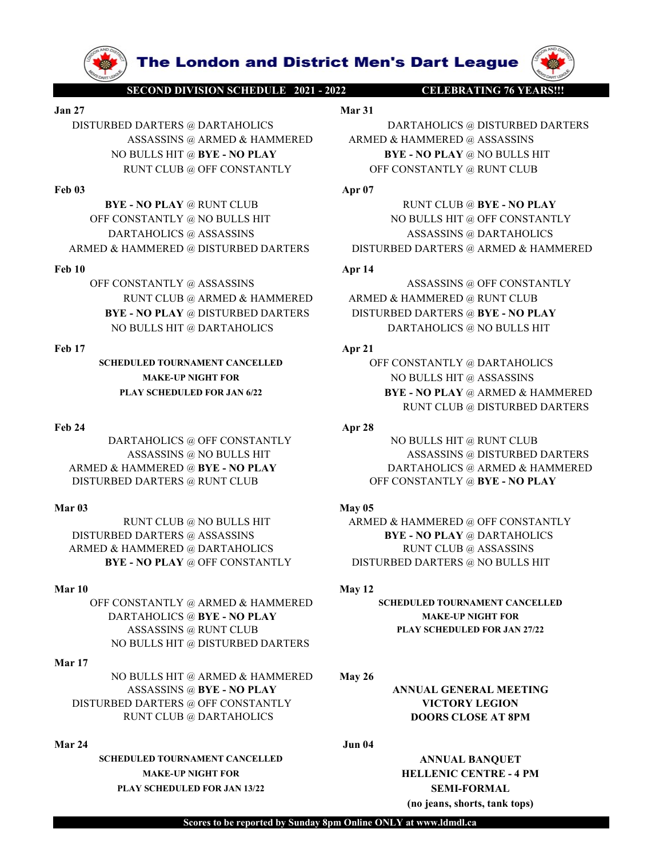

Feb 24 Apr 28

SCHEDULED TOURNAMENT CANCELLED OFF CONSTANTLY @ DARTAHOLICS

DISTURBED DARTERS @ ASSASSINS BYE - NO PLAY @ DARTAHOLICS

OFF CONSTANTLY @ ARMED & HAMMERED SCHEDULED TOURNAMENT CANCELLED DARTAHOLICS @ BYE - NO PLAY MAKE-UP NIGHT FOR ASSASSINS @ RUNT CLUB PLAY SCHEDULED FOR JAN 27/22 NO BULLS HIT @ DISTURBED DARTERS

# Mar 17

NO BULLS HIT @ ARMED & HAMMERED May 26 ASSASSINS @ BYE - NO PLAY ANNUAL GENERAL MEETING DISTURBED DARTERS @ OFF CONSTANTLY VICTORY LEGION RUNT CLUB @ DARTAHOLICS **DOORS CLOSE AT 8PM** ARMED & HAMMERED<br>
Mar 24<br>
Mar 24 DISTURBED ARTERS ® RUNT CLUB<br>
NAT 03<br>
NAT 04<br>
NAT 04<br>
NAT 04<br>
NAT 04<br>
NAT 04<br>
NAT 04<br>
NAT 04<br>
NAT 04<br>
NAT 04<br>
NAT 04<br>
NAT 04<br>
NAT 04<br>
NAT 04<br>
DISTURBED DARTERS ® ASSASSINS<br>
ARMED & HAMMERE

SCHEDULED TOURNAMENT CANCELLED ANNUAL BANQUET MAKE-UP NIGHT FOR **HELLENIC CENTRE - 4 PM** PLAY SCHEDULED FOR JAN 13/22 SEMI-FORMAL

**The London and District Men's Dart League**<br>
SECOND DIVISION SCHEDULE 2021 - 2022<br>
Mar 31<br>
DARTERS @ DARTAHOLICS<br>
ASSASSINS @ ARMED & HAMMERED **ARMED & HAMMERED @ ASSASSINS**<br>
BULLS HIT @ BYE - NO PLAY **BYE - NO PLAY @ NO B EXECTS ON THE LONGON AND DESCRIP DESCRIP ON A SECOND DIVISION SCHEDULE 2021 - 2022**<br>
JAN 27 Mar 31<br>
DISTURBED DARTERS @ DARTAHOLICS MASSASSINS @ ARMED & HAMMERED<br>
MARTAHOLICS MASSASSINS @ ARMED & HAMMERED & HAMMERED @ ASS **DECOND DIVISION SCHEDULE 2021 - 2022**<br> **DISTURBED DARTERS @ DARTAHOLICS**<br>
DISTURBED DARTERS @ DARTAHOLICS<br>
ASSASSINS @ ARMED & HAMMERED<br>
NO BULLS HIT @ BYE - NO PLAY<br>
RUNT CLUB @ OFF CONSTANTLY<br>
OFF CONSTANTLY<br>
OFF CONSTA **ASSECOND DIVISION SCHEDULE 2021 - 2022**<br> **ASSASSINS @ DARTAHOLICS**<br>
ASSASSINS @ ARMED & HAMMERED ARMED & HAMMERED @ DISTURBED DARTERS<br>
BULLS HIT @ BYE - NO PLAY<br>
NO PLAY @ ROWED & HAMMERED & HAMMERED @ ASSASSINS<br>
BULLS HI **The London and District Men's Dart League (SECOND DIVISION SCHEDULE 2021-2022**<br>
BED DARTERS @ DARTAHOLICS<br>
Mar<sup>31</sup><br>
BED DARTERS @ ARMED & HAMMERED<br>
Mar<sup>31</sup><br>
Mar<sup>31</sup><br>
DARTAHOLICS @ DISTURBED DARTERS<br>
ASSASSINS @ ARMED & H **The London and District Men's Dart League (SPARE ASSASSING MATAIN CLUB ARMED ARMED ARMED ARMED ARMED ASSASSING ARMED ARMED ARMED ARMED ARMED ARMED ASSASSING DISTURBED DARTERS ASSASSING ARMED ARMED ARMED ARMED ARMED ARMED FROM THE LONDON AND DESCRIBED DATE AREA CONSTANTLY AND BULLS HIT DATAHOLICS**<br> **FROM DESCRIBED DATERS**<br>
APPEND AND DESCRIBED DATERS<br>
AREA ASSASSINS @ ARMED & HAMMERED<br>
ARMED & HAMMERED @ ASSASSINS<br>
NO BLULS HIT @ BYE - NO **EXECUTE DATE AND SECURE DEATHERS AND DEVICE AND SECURE DATERS ASSASSINS (@ ARMED & HAMMERED ARTAHOLICS ASSASSINS ARMED & HAMMERED @ ASSASSINS NO BULLS HIT @ BYE - NO PLAY and a primer constantly are to play and the consta OFF CONSTANTLY @ ASSASSINS**<br> **OFF CONSTANTLY @ ASSASSINS**<br>
OFF CONSTANTLY @ ASSASSING<br>
DARTERS @ DARTAHOLICS<br>
ARMED & HAMMERED @ ASSASSINS<br>
NO BULLS HIT @ BYE - NO PLAY<br>
RUNT CLUB @ OFF CONSTANTLY<br>
PORT CONSTANTLY @ RUNT **EXAMPLE SEE AN ABOUT AN EXAMPLE CONSTANTLY & ASSASSINS**<br>
CONSTANTLY & ARMED & HAMMERED **ARMED & HAMMERED @ ASSASSINS & ARMED & HAMMERED ARMED & HAMMERED @ ASSASSINS**<br>
NO BULLS HIT @ BYF. NO PLAY @ RUNT CLUB<br>
ARMED & HAMME **ARMED DARTERS ARMERED DARTERS ARMED ARMED ARMED ARMED ARMED ARMED ARMED ARMED ARMED ARMED ARMED ARMED ARMED ARMED ARMED ARMED ARMED ARMED ARMED ARMED ARMED ARMED ARMED ARMED ARMED ARMED ARMED ARMED ARMED ARMED ARMED ARME The London and District Men's Dart League (WWW)**<br> **SECONDIVISIONSEEDING WATERS AND A FRIME AND ARTENGIUS (SECONDIVISIONSEED)**<br>
MATER AND A HAMMERED ARTAHOLICS ADSTERBED DARTERS<br>
NO BULLS HIT @ BVE - NO PLAY<br>
RUNT CLUB @ **THE LONDON and District Men's Dart League (W)**<br>
SECONDIVISIONSCHEDULE 2011-2022<br>
TURBED DARTERS @ DARTAHOLICS Mar<sup>31</sup><br>
ARMED & HAMMERED @ DISTURBED DARTERS<br>
ASSASSINS @ ARMED & HAMMERED & ASSASSINS<br>
NO BULLS HIT @ BYE - N **SECONDINISIONS CHEMICLE Men's Dart League (ADVITABLE EXAMPLE THE SUPPLIES ARMED ARMED ARMED ARMED ARMED ARMED ARMED ARMED ARMED ARMED ARMED ARMED ARMED ARMED ARMED ARMED ARMED ARMED ARMED ARMED ARMED ARMED ARMED ARMED AR EXAMPLE AND STATE AND STATE OF A PLAY AND A REALLY SEXUE OF A PARTAHOLICS**<br> **BRED DARTERS @ DARTAHOLICS**<br>
MATAIL BRED ARTAHOLICS AND BULLS HIT @ NEW - NO PLAY @ NO BULLS HIT @ NEW - NO PLAY @ RUNT CLUB @ OF CONSTANTLY<br>
PU **The London and District Men's Dart League (Warry State Weaker Constants)**<br>
Mapped Barriers (DARTAHOLICS DARTAHOLICS @ DISTUREED DARTERS<br>
MO BULLS HIT @ NE NO BULLS HIT @ NEW ANDERS (NO BULLS HIT @ NEW ANDERS ARMED & HAMME **3140**<br> **FACES ANTERE SERVIT AND THE SERVIT AND THE SERVIT AND THE SERVIT AND TRINGER SERVIT AND TRINGER SERVIT AND DETERMINISM ARRANGED DARTERS AN ARREND A RANDER DE ANTANOLICS (6 DISTURBED DATERS AND BULLS HIT (6 DVC CO** 

MAKE-UP NIGHT FOR NO BULLS HIT @ ASSASSINS PLAY SCHEDULED FOR JAN 6/22 BYE - NO PLAY @ ARMED & HAMMERED RUNT CLUB @ DISTURBED DARTERS DARTAHOLICS @ OFF CONSTANTLY NO BULLS HIT @ RUNT CLUB  $\begin{tabular}{c|c|c} \multicolumn{1}{c}{\textbf{AP}} & \multicolumn{1}{c}{\textbf{AP}} \\ \multicolumn{1}{c}{\begin{tabular}{c} \multicolumn{1}{c}{\textbf{AP}} \\ \multicolumn{1}{c}{\begin{tabular}{c} \multicolumn{1}{c}{\textbf{AP}} \\ \multicolumn{1}{c}{\begin{tabular}{c} \multicolumn{1}{c}{\textbf{AP}} \\ \multicolumn{1}{c}{\begin{tabular}{c} \multicolumn{1}{c}{\textbf{AP}} \\ \multicolumn{1}{c}{\begin{tabular}{c} \multicolumn{1}{c}{\textbf{AP}} \\ \multicolumn{1}{c}{\begin$ BYE - NO PLAY RUNT CLUB AND REVERS @ ASSASSINS (DATAMOLICS & ASSASSING DARTERS DISTURBED DARTERS ASSASSING DARTAHOLICS ASSASSING DARTAHOLICS ASSASSING DARTAHOLICS ASSASSING A PP 1<br>
IO THE CONSTANTLY @ ARMED DARTERS DISTUR  $\begin{tabular}{l|c|c|c} \multicolumn{4}{l}{\textbf{PARTAB}} \multicolumn{4}{l}{\textbf{PARTAB}} \multicolumn{4}{l}{\textbf{ARMTRB}} \multicolumn{4}{l}{\textbf{ARMTRB}} \multicolumn{4}{l}{\textbf{ARMTRB}} \multicolumn{4}{l}{\textbf{ARMTRB}} \multicolumn{4}{l}{\textbf{ARMTRB}} \multicolumn{4}{l}{\textbf{ARMTRB}} \multicolumn{4}{l}{\textbf{ARMTRB}} \multicolumn{4}{l}{\textbf{ARMTRB}} \multicolumn{4}{l}{\textbf{ARMTRB}} \multicolumn{4}{l}{\$ HAMMERED @ DISTURBED DARTERS MATERIS (SEARCHET DARTERS ARMED & HAMMERED MINIT CLUB @ ARMED & HAMMERED ARMED & HAMMERED @ RUNT CLUB ARMED & HAMMERED DISTURBED DARTERS (S INCLUSI THE ARMED ART AND BULLS HIT @ DART AHOLICS ( 10<br>
OFF CONSTANTLY @ ARMED & HAMMERED ARMED & HAMMERED & RINT CLUB & ARMED & HAMMERED DARTAHOLICS<br>
BYE - NO PLAY & DISTURBED DARTAHOLICS<br>
MAE-UP NGIT FOR ARMED AND CONSTANTLY @ DARTAHOLICS<br>
MAE-UP NGIT FOR ARMED AND CONSTA FONSTANTLY  $\begin{array}{lllllllllllllllllllllllllllllllllllllllll\end{array} & \mbox{MNP CLUB B} & \mbox{RAMMERED} & \mbox{RBMID B} & \mbox{RAMMERED B} & \mbox{RRMINERED DARTERS B} & \mbox{RBMID B} & \mbox{RBMINERED DARTERS B} & \mbox{BISTURBED DARTERS B} & \mbox{BISTURBED DARTERS B} & \mbox{BISTURBED DARTERS B} & \mbox{BISTURBED DARTERS B} & \mbox{BISTURBED DARTERS B} & \mbox{BISTURBED DARTERS B} & \$ **BYE-NO PLAY** @DISTURBED DARTAHOLICS **ARMED**<br>
NO BULLS HIT @DARTAHOLICS **ARMED**<br>
MARK-UP NGIFITY **ADENTIFICATES**<br>
MARK-UP NGIFITY **ADENTIFICATES**<br>
MARK-UP NGIFITY **ADENTIFICATES**<br>
MARK-UP NGIFITY **ADENTIFICATES**<br>
PLAY CHE

ARMED & HAMMERED @ BYE - NO PLAY DARTAHOLICS @ ARMED & HAMMERED

(no jeans, shorts, tank tops)